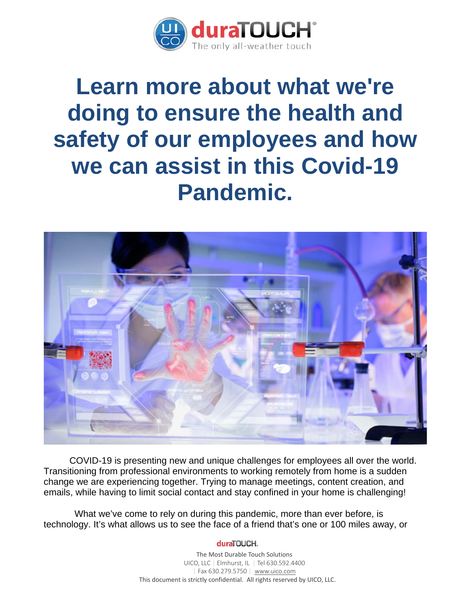

# **Learn more about what we're doing to ensure the health and safety of our employees and how we can assist in this Covid-19 Pandemic.**



 COVID-19 is presenting new and unique challenges for employees all over the world. Transitioning from professional environments to working remotely from home is a sudden change we are experiencing together. Trying to manage meetings, content creation, and emails, while having to limit social contact and stay confined in your home is challenging!

 What we've come to rely on during this pandemic, more than ever before, is technology. It's what allows us to see the face of a friend that's one or 100 miles away, or

#### duraTOUCH.

The Most Durable Touch Solutions UICO, LLC | Elmhurst, IL | Tel 630.592.4400 | Fax 630.279.5750 | [www.uico.com](http://www.uico.com/) This document is strictly confidential. All rights reserved by UICO, LLC.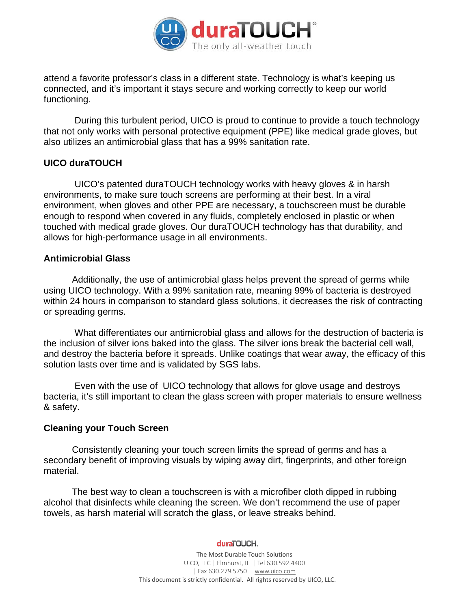

attend a favorite professor's class in a different state. Technology is what's keeping us connected, and it's important it stays secure and working correctly to keep our world functioning.

 During this turbulent period, UICO is proud to continue to provide a touch technology that not only works with personal protective equipment (PPE) like medical grade gloves, but also utilizes an antimicrobial glass that has a 99% sanitation rate.

## **UICO duraTOUCH**

 UICO's patented duraTOUCH technology works with heavy gloves & in harsh environments, to make sure touch screens are performing at their best. In a viral environment, when gloves and other PPE are necessary, a touchscreen must be durable enough to respond when covered in any fluids, completely enclosed in plastic or when touched with medical grade gloves. Our duraTOUCH technology has that durability, and allows for high-performance usage in all environments.

#### **Antimicrobial Glass**

 Additionally, the use of antimicrobial glass helps prevent the spread of germs while using UICO technology. With a 99% sanitation rate, meaning 99% of bacteria is destroyed within 24 hours in comparison to standard glass solutions, it decreases the risk of contracting or spreading germs.

 What differentiates our antimicrobial glass and allows for the destruction of bacteria is the inclusion of silver ions baked into the glass. The silver ions break the bacterial cell wall, and destroy the bacteria before it spreads. Unlike coatings that wear away, the efficacy of this solution lasts over time and is validated by SGS labs.

 Even with the use of UICO technology that allows for glove usage and destroys bacteria, it's still important to clean the glass screen with proper materials to ensure wellness & safety.

## **Cleaning your Touch Screen**

 Consistently cleaning your touch screen limits the spread of germs and has a secondary benefit of improving visuals by wiping away dirt, fingerprints, and other foreign material.

 The best way to clean a touchscreen is with a microfiber cloth dipped in rubbing alcohol that disinfects while cleaning the screen. We don't recommend the use of paper towels, as harsh material will scratch the glass, or leave streaks behind.

duraTOUCH.